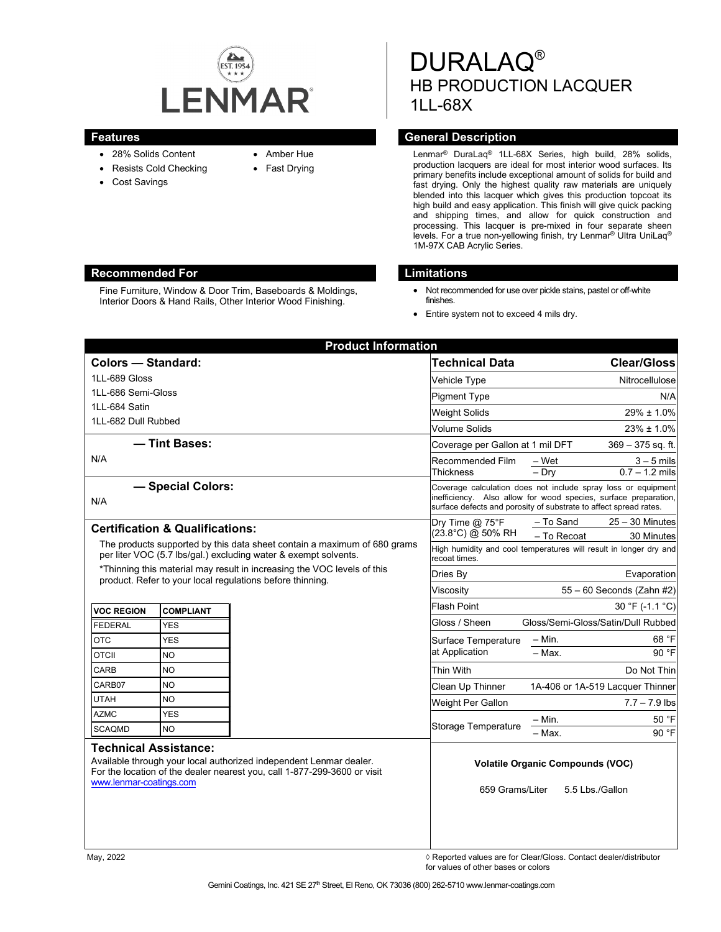

- 28% Solids Content
- Resists Cold Checking
- Cost Savings
- Amber Hue
- Fast Drying

# DURALAQ® HB PRODUCTION LACQUER 1LL-68X

#### **Features General Description**

Lenmar® DuraLaq® 1LL-68X Series, high build, 28% solids, production lacquers are ideal for most interior wood surfaces. Its primary benefits include exceptional amount of solids for build and fast drying. Only the highest quality raw materials are uniquely blended into this lacquer which gives this production topcoat its high build and easy application. This finish will give quick packing and shipping times, and allow for quick construction and processing. This lacquer is pre-mixed in four separate sheen levels. For a true non-yellowing finish, try Lenmar® Ultra UniLaq® 1M-97X CAB Acrylic Series.

#### **Recommended For Limitations**

Fine Furniture, Window & Door Trim, Baseboards & Moldings, Interior Doors & Hand Rails, Other Interior Wood Finishing.

- Not recommended for use over pickle stains, pastel or off-white finishes.
- Entire system not to exceed 4 mils dry.

| <b>Product Information</b>                                                                                                                                                                                |                  |  |                                                                                                                                                                                                       |                           |                                    |
|-----------------------------------------------------------------------------------------------------------------------------------------------------------------------------------------------------------|------------------|--|-------------------------------------------------------------------------------------------------------------------------------------------------------------------------------------------------------|---------------------------|------------------------------------|
| <b>Colors - Standard:</b>                                                                                                                                                                                 |                  |  | <b>Technical Data</b>                                                                                                                                                                                 |                           | <b>Clear/Gloss</b>                 |
| 1LL-689 Gloss                                                                                                                                                                                             |                  |  | Vehicle Type                                                                                                                                                                                          |                           | Nitrocellulose                     |
| 1LL-686 Semi-Gloss                                                                                                                                                                                        |                  |  | <b>Pigment Type</b>                                                                                                                                                                                   |                           | N/A                                |
| 1LL-684 Satin                                                                                                                                                                                             |                  |  | <b>Weight Solids</b>                                                                                                                                                                                  |                           | $29\% \pm 1.0\%$                   |
| 1LL-682 Dull Rubbed                                                                                                                                                                                       |                  |  | Volume Solids                                                                                                                                                                                         |                           | $23\% \pm 1.0\%$                   |
| - Tint Bases:                                                                                                                                                                                             |                  |  | Coverage per Gallon at 1 mil DFT                                                                                                                                                                      | $369 - 375$ sq. ft.       |                                    |
| N/A                                                                                                                                                                                                       |                  |  | Recommended Film                                                                                                                                                                                      | – Wet                     | $3 - 5$ mils                       |
|                                                                                                                                                                                                           |                  |  | Thickness                                                                                                                                                                                             | $-$ Dry                   | $0.7 - 1.2$ mils                   |
| - Special Colors:<br>N/A                                                                                                                                                                                  |                  |  | Coverage calculation does not include spray loss or equipment<br>inefficiency. Also allow for wood species, surface preparation,<br>surface defects and porosity of substrate to affect spread rates. |                           |                                    |
| <b>Certification &amp; Qualifications:</b>                                                                                                                                                                |                  |  | Dry Time @ 75°F<br>(23.8°C) @ 50% RH                                                                                                                                                                  | - To Sand                 | $25 - 30$ Minutes                  |
| The products supported by this data sheet contain a maximum of 680 grams                                                                                                                                  |                  |  |                                                                                                                                                                                                       | - To Recoat               | 30 Minutes                         |
| per liter VOC (5.7 lbs/gal.) excluding water & exempt solvents.                                                                                                                                           |                  |  | High humidity and cool temperatures will result in longer dry and<br>recoat times.                                                                                                                    |                           |                                    |
| *Thinning this material may result in increasing the VOC levels of this<br>product. Refer to your local regulations before thinning.                                                                      |                  |  | Dries Bv                                                                                                                                                                                              | Evaporation               |                                    |
|                                                                                                                                                                                                           |                  |  | Viscositv                                                                                                                                                                                             | 55 - 60 Seconds (Zahn #2) |                                    |
| <b>VOC REGION</b>                                                                                                                                                                                         | <b>COMPLIANT</b> |  | <b>Flash Point</b>                                                                                                                                                                                    |                           | 30 °F (-1.1 °C)                    |
| <b>FEDERAL</b>                                                                                                                                                                                            | <b>YES</b>       |  | Gloss / Sheen                                                                                                                                                                                         |                           | Gloss/Semi-Gloss/Satin/Dull Rubbed |
| <b>OTC</b>                                                                                                                                                                                                | <b>YES</b>       |  | Surface Temperature                                                                                                                                                                                   | $-$ Min.                  | 68 °F                              |
| <b>OTCII</b>                                                                                                                                                                                              | <b>NO</b>        |  | at Application                                                                                                                                                                                        | - Max.                    | 90 °F                              |
| <b>CARB</b>                                                                                                                                                                                               | <b>NO</b>        |  | Thin With                                                                                                                                                                                             |                           | Do Not Thin                        |
| CARB07                                                                                                                                                                                                    | <b>NO</b>        |  | Clean Up Thinner                                                                                                                                                                                      |                           | 1A-406 or 1A-519 Lacquer Thinner   |
| <b>UTAH</b>                                                                                                                                                                                               | <b>NO</b>        |  | Weight Per Gallon                                                                                                                                                                                     |                           | $7.7 - 7.9$ lbs                    |
| <b>AZMC</b>                                                                                                                                                                                               | <b>YES</b>       |  |                                                                                                                                                                                                       | – Min.                    | 50 °F                              |
| <b>SCAQMD</b>                                                                                                                                                                                             | <b>NO</b>        |  | Storage Temperature                                                                                                                                                                                   | - Max.                    | 90 °F                              |
| <b>Technical Assistance:</b><br>Available through your local authorized independent Lenmar dealer.<br>For the location of the dealer nearest you, call 1-877-299-3600 or visit<br>www.lenmar-coatings.com |                  |  | <b>Volatile Organic Compounds (VOC)</b><br>5.5 Lbs./Gallon<br>659 Grams/Liter                                                                                                                         |                           |                                    |

May, 2022 ◊ Reported values are for Clear/Gloss. Contact dealer/distributor for values of other bases or colors